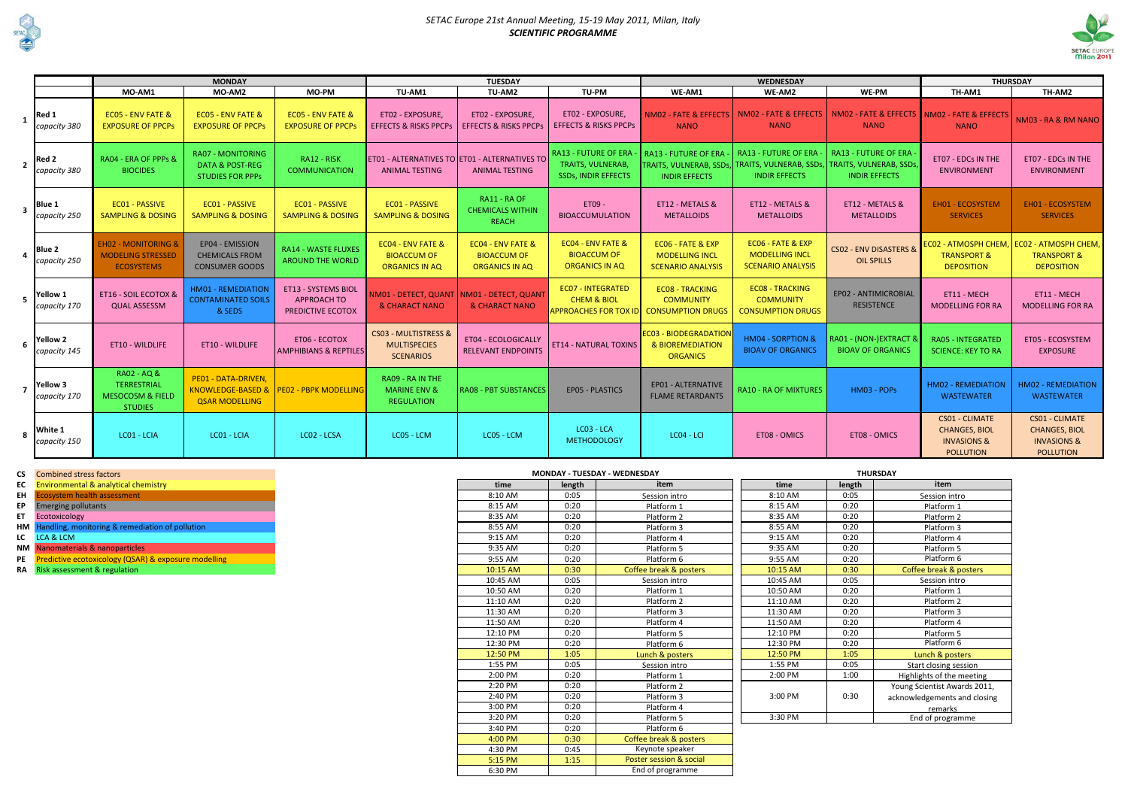

## *SETAC Europe 21st Annual Meeting, 15-19 May 2011, Milan, Italy SCIENTIFIC PROGRAMME*

|   |                                               |                                                                                    | <b>MONDAY</b>                                                                     |                                                                       | <b>TUESDAY</b>                                                   |                                                                        |                                                                                       |                                                                        | <b>WEDNESDAY</b>                                                                                                              | <b>THURSDAY</b>                                            |                                                                                             |                                                                                             |
|---|-----------------------------------------------|------------------------------------------------------------------------------------|-----------------------------------------------------------------------------------|-----------------------------------------------------------------------|------------------------------------------------------------------|------------------------------------------------------------------------|---------------------------------------------------------------------------------------|------------------------------------------------------------------------|-------------------------------------------------------------------------------------------------------------------------------|------------------------------------------------------------|---------------------------------------------------------------------------------------------|---------------------------------------------------------------------------------------------|
|   |                                               | MO-AM1                                                                             | MO-AM2                                                                            | <b>MO-PM</b>                                                          | TU-AM1                                                           | TU-AM2                                                                 | TU-PM                                                                                 | WE-AM1                                                                 | WE-AM2                                                                                                                        | WE-PM                                                      | TH-AM1                                                                                      | TH-AM2                                                                                      |
|   | Red 1<br>capacity 380                         | <b>ECO5 - ENV FATE &amp;</b><br><b>EXPOSURE OF PPCPS</b>                           | <b>ECO5 - ENV FATE &amp;</b><br><b>EXPOSURE OF PPCPs</b>                          | <b>ECO5 - ENV FATE &amp;</b><br><b>EXPOSURE OF PPCPS</b>              | ET02 - EXPOSURE,<br><b>EFFECTS &amp; RISKS PPCPs</b>             | ET02 - EXPOSURE,<br><b>EFFECTS &amp; RISKS PPCPS</b>                   | ET02 - EXPOSURE,<br><b>EFFECTS &amp; RISKS PPCPS</b>                                  | NM02 - FATE & EFFECTS<br><b>NANO</b>                                   | NM02 - FATE & EFFECTS<br><b>NANO</b>                                                                                          | NM02 - FATE & EFFECTS NM02 - FATE & EFFECTS<br><b>NANO</b> | <b>NANO</b>                                                                                 | NM03 - RA & RM NANO                                                                         |
|   | $2$ Red 2<br>capacity 380                     | RA04 - ERA OF PPPs &<br><b>BIOCIDES</b>                                            | <b>RA07 - MONITORING</b><br><b>DATA &amp; POST-REG</b><br><b>STUDIES FOR PPPS</b> | RA12 - RISK<br><b>COMMUNICATION</b>                                   | <b>ANIMAL TESTING</b>                                            | ET01 - ALTERNATIVES TO ET01 - ALTERNATIVES TO<br><b>ANIMAL TESTING</b> | <b>RA13 - FUTURE OF ERA</b><br><b>TRAITS, VULNERAB,</b><br><b>SSDs, INDIR EFFECTS</b> | <b>RA13 - FUTURE OF ERA</b><br><b>INDIR EFFECTS</b>                    | <b>RA13 - FUTURE OF ERA</b><br>TRAITS, VULNERAB, SSDs, TRAITS, VULNERAB, SSDs, TRAITS, VULNERAB, SSDs<br><b>INDIR EFFECTS</b> | RA13 - FUTURE OF ERA<br><b>INDIR EFFECTS</b>               | ET07 - EDCs IN THE<br><b>ENVIRONMENT</b>                                                    | ET07 - EDCs IN THE<br><b>ENVIRONMENT</b>                                                    |
|   | $3$ $\vert$ <sup>Blue 1</sup><br>capacity 250 | <b>EC01 - PASSIVE</b><br><b>SAMPLING &amp; DOSING</b>                              | <b>ECO1 - PASSIVE</b><br><b>SAMPLING &amp; DOSING</b>                             | <b>ECO1 - PASSIVE</b><br><b>SAMPLING &amp; DOSING</b>                 | <b>EC01 - PASSIVE</b><br><b>SAMPLING &amp; DOSING</b>            | RA11 - RA OF<br><b>CHEMICALS WITHIN</b><br><b>REACH</b>                | ET09 -<br><b>BIOACCUMULATION</b>                                                      | ET12 - METALS &<br><b>METALLOIDS</b>                                   | ET12 - METALS &<br><b>METALLOIDS</b>                                                                                          | ET12 - METALS &<br><b>METALLOIDS</b>                       | <b>EH01 - ECOSYSTEM</b><br><b>SERVICES</b>                                                  | <b>EH01 - ECOSYSTEM</b><br><b>SERVICES</b>                                                  |
|   | $4$ Blue 2<br>capacity 250                    | <b>EH02 - MONITORING &amp;</b><br><b>MODELING STRESSED</b><br><b>ECOSYSTEMS</b>    | EP04 - EMISSION<br><b>CHEMICALS FROM</b><br><b>CONSUMER GOODS</b>                 | <b>RA14 - WASTE FLUXES</b><br><b>AROUND THE WORLD</b>                 | EC04 - ENV FATE &<br><b>BIOACCUM OF</b><br><b>ORGANICS IN AQ</b> | EC04 - ENV FATE &<br><b>BIOACCUM OF</b><br><b>ORGANICS IN AQ</b>       | EC04 - ENV FATE &<br><b>BIOACCUM OF</b><br><b>ORGANICS IN AQ</b>                      | EC06 - FATE & EXP<br><b>MODELLING INCL</b><br><b>SCENARIO ANALYSIS</b> | EC06 - FATE & EXP<br><b>MODELLING INCL</b><br><b>SCENARIO ANALYSIS</b>                                                        | <b>CS02 - ENV DISASTERS &amp;</b><br><b>OIL SPILLS</b>     | <b>TRANSPORT &amp;</b><br><b>DEPOSITION</b>                                                 | <b>TRANSPORT &amp;</b><br><b>DEPOSITION</b>                                                 |
| 5 | <b>Yellow 1</b><br>capacity 170               | <b>ET16 - SOIL ECOTOX &amp;</b><br><b>QUAL ASSESSM</b>                             | <b>HM01 - REMEDIATION</b><br><b>CONTAMINATED SOILS</b><br>& SEDS                  | <b>ET13 - SYSTEMS BIOL</b><br><b>APPROACH TO</b><br>PREDICTIVE ECOTOX | NM01 - DETECT, QUANT<br>& CHARACT NANO                           | NM01 - DETECT, QUANT<br>& CHARACT NANO                                 | <b>ECO7 - INTEGRATED</b><br><b>CHEM &amp; BIOL</b><br><b>APPROACHES FOR TOX ID</b>    | <b>ECO8 - TRACKING</b><br><b>COMMUNITY</b><br><b>CONSUMPTION DRUGS</b> | <b>ECO8 - TRACKING</b><br><b>COMMUNITY</b><br><b>CONSUMPTION DRUGS</b>                                                        | EP02 - ANTIMICROBIAL<br><b>RESISTENCE</b>                  | ET11 - MECH<br><b>MODELLING FOR RA</b>                                                      | ET11 - MECH<br><b>MODELLING FOR RA</b>                                                      |
| 6 | <b>Yellow 2</b><br>capacity 145               | ET10 - WILDLIFE                                                                    | ET10 - WILDLIFE                                                                   | ET06 - ECOTOX<br><b>AMPHIBIANS &amp; REPTILES</b>                     | CS03 - MULTISTRESS &<br><b>MULTISPECIES</b><br><b>SCENARIOS</b>  | ET04 - ECOLOGICALLY<br><b>RELEVANT ENDPOINTS</b>                       | <b>ET14 - NATURAL TOXINS</b>                                                          | <b>EC03 - BIODEGRADATION</b><br>& BIOREMEDIATION<br><b>ORGANICS</b>    | <b>HM04 - SORPTION &amp;</b><br><b>BIOAV OF ORGANICS</b>                                                                      | RA01 - (NON-)EXTRACT &<br><b>BIOAV OF ORGANICS</b>         | <b>RA05 - INTEGRATED</b><br><b>SCIENCE: KEY TO RA</b>                                       | ET05 - ECOSYSTEM<br><b>EXPOSURE</b>                                                         |
|   | Yellow 3<br>capacity 170                      | RA02 - AQ &<br><b>TERRESTRIAL</b><br><b>MESOCOSM &amp; FIELD</b><br><b>STUDIES</b> | PE01 - DATA-DRIVEN,<br>KNOWLEDGE-BASED &<br><b>QSAR MODELLING</b>                 | <b>PEO2 - PBPK MODELLING</b>                                          | RA09 - RA IN THE<br><b>MARINE ENV &amp;</b><br><b>REGULATION</b> | <b>RA08 - PBT SUBSTANCES</b>                                           | <b>EPO5 - PLASTICS</b>                                                                | EP01 - ALTERNATIVE<br><b>FLAME RETARDANTS</b>                          | <b>RA10 - RA OF MIXTURES</b>                                                                                                  | HM03 - POPS                                                | <b>HM02 - REMEDIATION</b><br><b>WASTEWATER</b>                                              | <b>HM02 - REMEDIATION</b><br><b>WASTEWATER</b>                                              |
|   | 8 White 1<br>capacity 150                     | LC01 - LCIA                                                                        | LC01 - LCIA                                                                       | LC02 - LCSA                                                           | LC05 - LCM                                                       | LC05 - LCM                                                             | LC03 - LCA<br><b>METHODOLOGY</b>                                                      | LC04 - LCI                                                             | ET08 - OMICS                                                                                                                  | ET08 - OMICS                                               | <b>CS01 - CLIMATE</b><br><b>CHANGES, BIOL</b><br><b>INVASIONS &amp;</b><br><b>POLLUTION</b> | <b>CS01 - CLIMATE</b><br><b>CHANGES, BIOL</b><br><b>INVASIONS &amp;</b><br><b>POLLUTION</b> |

**CS** Combined stress factors

- **EC** Environmental & analytical chemistry<br>**EH** Ecosystem health assessment
- **Ecosystem health assessment**
- **EP** Emerging pollutants
- 
- **HM** Handling, monitoring & remediation of pollution **LC** LCA & LCM
- 
- 
- 
- 

|    | <b>CS</b> Combined stress factors                       |          |        | <b>MONDAY - TUESDAY - WEDNESDAY</b> |          |         |
|----|---------------------------------------------------------|----------|--------|-------------------------------------|----------|---------|
|    | EC Environmental & analytical chemistry                 | time     | length | item                                |          | time    |
| EH | <b>Ecosystem health assessment</b>                      | 8:10 AM  | 0:05   | Session intro                       |          | 8:10 AM |
| EP | <b>Emerging pollutants</b>                              | 8:15 AM  | 0:20   | Platform 1                          | 8:15 AM  |         |
| ET | Ecotoxicology                                           | 8:35 AM  | 0:20   | Platform 2                          | 8:35 AM  |         |
|    | HM Handling, monitoring & remediation of pollution      | 8:55 AM  | 0:20   | Platform 3                          | 8:55 AM  |         |
|    | LC LCA & LCM                                            | 9:15 AM  | 0:20   | Platform 4                          | 9:15 AM  |         |
|    | NM Nanomaterials & nanoparticles                        | 9:35 AM  | 0:20   | Platform 5                          | 9:35 AM  |         |
|    | PE Predictive ecotoxicology (QSAR) & exposure modelling | 9:55 AM  | 0:20   | Platform 6                          | 9:55 AM  |         |
|    | RA Risk assessment & regulation                         | 10:15 AM | 0:30   | Coffee break & posters              | 10:15 AM |         |
|    |                                                         | 10:45 AM | 0:05   | Session intro                       | 10:45 AM |         |
|    |                                                         | 10:50 AM | 0:20   | Platform 1                          | 10:50 AM |         |
|    |                                                         | 11:10 AM | 0:20   | Platform 2                          | 11:10 AM |         |
|    |                                                         | 11:30 AM | 0:20   | Platform 3                          | 11:30 AM |         |
|    |                                                         | 11:50 AM | 0:20   | Platform 4                          | 11:50 AM |         |
|    |                                                         | 12:10 PM | 0:20   | Platform 5                          | 12:10 PM |         |
|    |                                                         | 12:30 PM | 0:20   | Platform 6                          | 12:30 PM |         |
|    |                                                         | 12:50 PM | 1:05   | Lunch & posters                     | 12:50 PM |         |
|    |                                                         | 1:55 PM  | 0:05   | Session intro                       | 1:55 PM  |         |
|    |                                                         | 2:00 PM  | 0:20   | Platform 1                          | 2:00 PM  |         |
|    |                                                         | 2:20 PM  | 0:20   | Platform 2                          |          |         |
|    |                                                         | 2:40 PM  | 0:20   | Platform 3                          | 3:00 PM  |         |
|    |                                                         | 3:00 PM  | 0:20   | Platform 4                          |          |         |
|    |                                                         | 3:20 PM  | 0:20   | Platform 5                          | 3:30 PM  |         |
|    |                                                         | 3:40 PM  | 0:20   | Platform 6                          |          |         |
|    |                                                         | 4:00 PM  | 0:30   | Coffee break & posters              |          |         |
|    |                                                         | 4:30 PM  | 0:45   | Keynote speaker                     |          |         |
|    |                                                         | 5:15 PM  | 1:15   | Poster session & social             |          |         |
|    |                                                         | 6:30 PM  |        | End of programme                    |          |         |

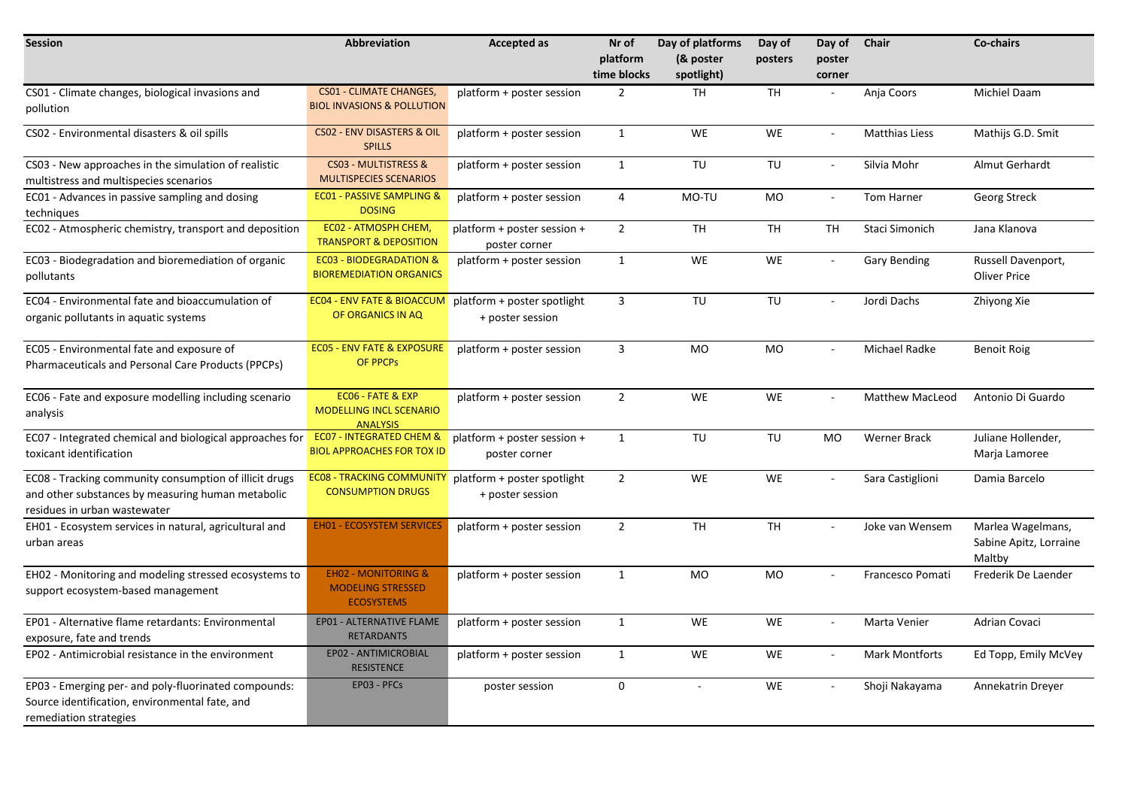| <b>Session</b>                                                                                                                              | <b>Abbreviation</b>                                                             | <b>Accepted as</b>                              | Nr of<br>platform | Day of platforms<br>(& poster | Day of<br>posters | Day of<br>poster            | <b>Chair</b>           | Co-chairs                                             |
|---------------------------------------------------------------------------------------------------------------------------------------------|---------------------------------------------------------------------------------|-------------------------------------------------|-------------------|-------------------------------|-------------------|-----------------------------|------------------------|-------------------------------------------------------|
|                                                                                                                                             |                                                                                 |                                                 | time blocks       | spotlight)                    |                   | corner                      |                        |                                                       |
| CS01 - Climate changes, biological invasions and<br>pollution                                                                               | <b>CS01 - CLIMATE CHANGES,</b><br><b>BIOL INVASIONS &amp; POLLUTION</b>         | platform + poster session                       | $\overline{2}$    | <b>TH</b>                     | <b>TH</b>         | $\overline{\phantom{a}}$    | Anja Coors             | Michiel Daam                                          |
| CS02 - Environmental disasters & oil spills                                                                                                 | <b>CS02 - ENV DISASTERS &amp; OIL</b><br><b>SPILLS</b>                          | platform + poster session                       | $\mathbf{1}$      | <b>WE</b>                     | WE                | $\sim$                      | <b>Matthias Liess</b>  | Mathijs G.D. Smit                                     |
| CS03 - New approaches in the simulation of realistic<br>multistress and multispecies scenarios                                              | <b>CS03 - MULTISTRESS &amp;</b><br><b>MULTISPECIES SCENARIOS</b>                | platform + poster session                       | $\mathbf{1}$      | TU                            | TU                | $\overline{\phantom{a}}$    | Silvia Mohr            | Almut Gerhardt                                        |
| EC01 - Advances in passive sampling and dosing<br>techniques                                                                                | <b>EC01 - PASSIVE SAMPLING &amp;</b><br><b>DOSING</b>                           | platform + poster session                       | $\overline{4}$    | MO-TU                         | MO                | $\omega$                    | Tom Harner             | Georg Streck                                          |
| EC02 - Atmospheric chemistry, transport and deposition                                                                                      | EC02 - ATMOSPH CHEM,<br><b>TRANSPORT &amp; DEPOSITION</b>                       | platform + poster session +<br>poster corner    | $\overline{2}$    | <b>TH</b>                     | <b>TH</b>         | <b>TH</b>                   | Staci Simonich         | Jana Klanova                                          |
| EC03 - Biodegradation and bioremediation of organic<br>pollutants                                                                           | <b>EC03 - BIODEGRADATION &amp;</b><br><b>BIOREMEDIATION ORGANICS</b>            | platform + poster session                       | $\mathbf{1}$      | WE                            | WE                | $\overline{\phantom{a}}$    | <b>Gary Bending</b>    | Russell Davenport,<br><b>Oliver Price</b>             |
| EC04 - Environmental fate and bioaccumulation of<br>organic pollutants in aquatic systems                                                   | <b>EC04 - ENV FATE &amp; BIOACCUM</b><br>OF ORGANICS IN AQ                      | platform + poster spotlight<br>+ poster session | $\overline{3}$    | TU                            | TU                | $\mathcal{L}_{\mathcal{A}}$ | Jordi Dachs            | Zhiyong Xie                                           |
| EC05 - Environmental fate and exposure of<br>Pharmaceuticals and Personal Care Products (PPCPs)                                             | <b>EC05 - ENV FATE &amp; EXPOSURE</b><br>OF PPCPs                               | platform + poster session                       | 3                 | MO                            | <b>MO</b>         | $\sim$                      | Michael Radke          | <b>Benoit Roig</b>                                    |
| EC06 - Fate and exposure modelling including scenario<br>analysis                                                                           | EC06 - FATE & EXP<br><b>MODELLING INCL SCENARIO</b><br><b>ANALYSIS</b>          | platform + poster session                       | $\overline{2}$    | <b>WE</b>                     | WE                | $\mathcal{L}_{\mathcal{A}}$ | <b>Matthew MacLeod</b> | Antonio Di Guardo                                     |
| EC07 - Integrated chemical and biological approaches for<br>toxicant identification                                                         | <b>EC07 - INTEGRATED CHEM &amp;</b><br><b>BIOL APPROACHES FOR TOX ID</b>        | platform + poster session +<br>poster corner    | $\mathbf{1}$      | TU                            | TU                | MO                          | <b>Werner Brack</b>    | Juliane Hollender,<br>Marja Lamoree                   |
| EC08 - Tracking community consumption of illicit drugs<br>and other substances by measuring human metabolic<br>residues in urban wastewater | <b>EC08 - TRACKING COMMUNITY</b><br><b>CONSUMPTION DRUGS</b>                    | platform + poster spotlight<br>+ poster session | $\overline{2}$    | <b>WE</b>                     | WE                | $\mathcal{L}_{\mathcal{A}}$ | Sara Castiglioni       | Damia Barcelo                                         |
| EH01 - Ecosystem services in natural, agricultural and<br>urban areas                                                                       | <b>EH01 - ECOSYSTEM SERVICES</b>                                                | platform + poster session                       | $\overline{2}$    | <b>TH</b>                     | <b>TH</b>         | $\sim$                      | Joke van Wensem        | Marlea Wagelmans,<br>Sabine Apitz, Lorraine<br>Maltby |
| EH02 - Monitoring and modeling stressed ecosystems to<br>support ecosystem-based management                                                 | <b>EH02 - MONITORING &amp;</b><br><b>MODELING STRESSED</b><br><b>ECOSYSTEMS</b> | platform + poster session                       | $\mathbf{1}$      | MO                            | <b>MO</b>         |                             | Francesco Pomati       | Frederik De Laender                                   |
| EP01 - Alternative flame retardants: Environmental<br>exposure, fate and trends                                                             | EP01 - ALTERNATIVE FLAME<br><b>RETARDANTS</b>                                   | platform + poster session                       | $\mathbf{1}$      | <b>WE</b>                     | WE                | $\sim$                      | Marta Venier           | Adrian Covaci                                         |
| EP02 - Antimicrobial resistance in the environment                                                                                          | EP02 - ANTIMICROBIAL<br><b>RESISTENCE</b>                                       | platform + poster session                       | $\mathbf{1}$      | WE                            | WE                | $\mathcal{L}_{\mathcal{A}}$ | <b>Mark Montforts</b>  | Ed Topp, Emily McVey                                  |
| EP03 - Emerging per- and poly-fluorinated compounds:<br>Source identification, environmental fate, and<br>remediation strategies            | EP03 - PFCs                                                                     | poster session                                  | $\mathbf 0$       |                               | WE                | $\sim$                      | Shoji Nakayama         | Annekatrin Dreyer                                     |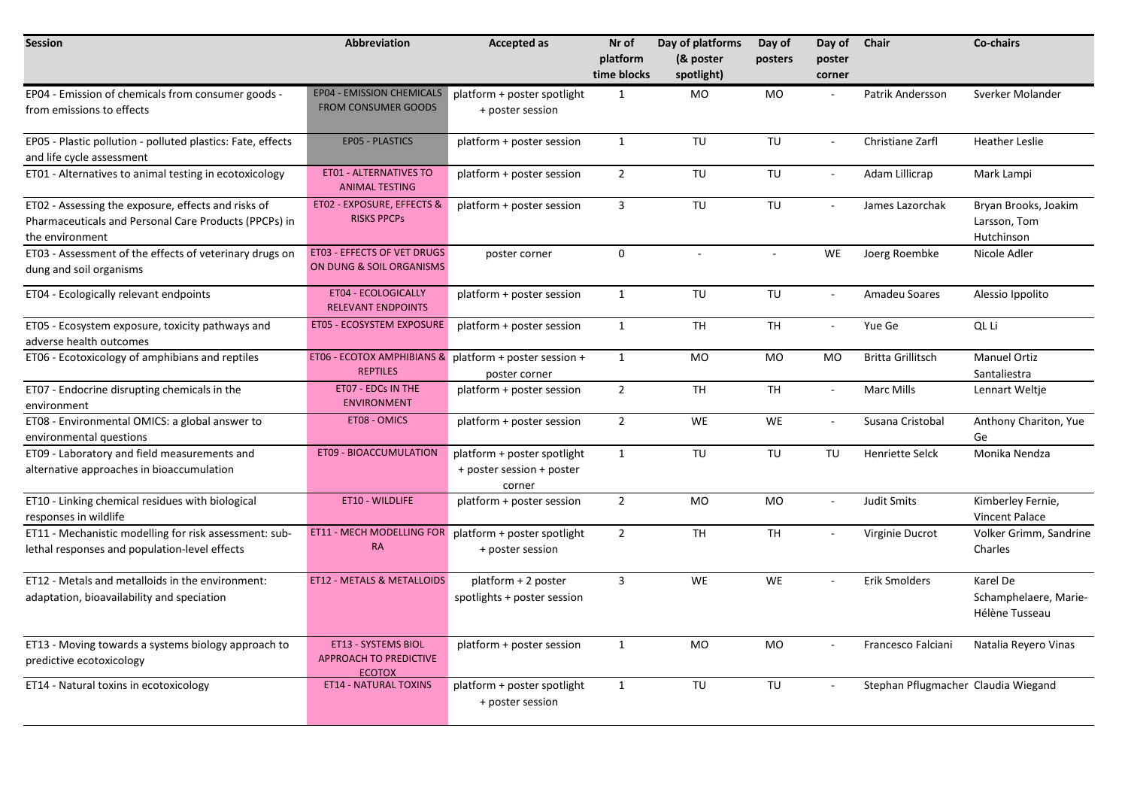| <b>Session</b>                                                                                                                  | <b>Abbreviation</b>                                                       | <b>Accepted as</b>                                                 | Nr of<br>platform<br>time blocks | Day of platforms<br>(& poster<br>spotlight) | Day of<br>posters | Day of<br>poster<br>corner | Chair                               | Co-chairs                                           |
|---------------------------------------------------------------------------------------------------------------------------------|---------------------------------------------------------------------------|--------------------------------------------------------------------|----------------------------------|---------------------------------------------|-------------------|----------------------------|-------------------------------------|-----------------------------------------------------|
| EP04 - Emission of chemicals from consumer goods -<br>from emissions to effects                                                 | <b>EP04 - EMISSION CHEMICALS</b><br><b>FROM CONSUMER GOODS</b>            | platform + poster spotlight<br>+ poster session                    | $\mathbf{1}$                     | MO                                          | <b>MO</b>         |                            | Patrik Andersson                    | Sverker Molander                                    |
| EP05 - Plastic pollution - polluted plastics: Fate, effects<br>and life cycle assessment                                        | EP05 - PLASTICS                                                           | platform + poster session                                          | $\mathbf{1}$                     | TU                                          | TU                | $\sim$                     | Christiane Zarfl                    | <b>Heather Leslie</b>                               |
| ET01 - Alternatives to animal testing in ecotoxicology                                                                          | <b>ET01 - ALTERNATIVES TO</b><br><b>ANIMAL TESTING</b>                    | platform + poster session                                          | $\overline{2}$                   | TU                                          | TU                | $\blacksquare$             | Adam Lillicrap                      | Mark Lampi                                          |
| ET02 - Assessing the exposure, effects and risks of<br>Pharmaceuticals and Personal Care Products (PPCPs) in<br>the environment | ET02 - EXPOSURE, EFFECTS &<br><b>RISKS PPCPs</b>                          | platform + poster session                                          | 3                                | TU                                          | TU                | $\mathcal{L}$              | James Lazorchak                     | Bryan Brooks, Joakim<br>Larsson, Tom<br>Hutchinson  |
| ET03 - Assessment of the effects of veterinary drugs on<br>dung and soil organisms                                              | ET03 - EFFECTS OF VET DRUGS<br>ON DUNG & SOIL ORGANISMS                   | poster corner                                                      | $\mathbf{0}$                     |                                             | $\sim$            | <b>WE</b>                  | Joerg Roembke                       | Nicole Adler                                        |
| ET04 - Ecologically relevant endpoints                                                                                          | ET04 - ECOLOGICALLY<br><b>RELEVANT ENDPOINTS</b>                          | platform + poster session                                          | 1                                | TU                                          | TU                | $\blacksquare$             | Amadeu Soares                       | Alessio Ippolito                                    |
| ET05 - Ecosystem exposure, toxicity pathways and<br>adverse health outcomes                                                     | ET05 - ECOSYSTEM EXPOSURE                                                 | platform + poster session                                          | 1                                | <b>TH</b>                                   | <b>TH</b>         | $\mathcal{L}$              | Yue Ge                              | QL Li                                               |
| ET06 - Ecotoxicology of amphibians and reptiles                                                                                 | ET06 - ECOTOX AMPHIBIANS & platform + poster session +<br><b>REPTILES</b> | poster corner                                                      | 1                                | <b>MO</b>                                   | MO                | MO                         | <b>Britta Grillitsch</b>            | <b>Manuel Ortiz</b><br>Santaliestra                 |
| ET07 - Endocrine disrupting chemicals in the<br>environment                                                                     | ET07 - EDCs IN THE<br><b>ENVIRONMENT</b>                                  | platform + poster session                                          | $\overline{2}$                   | <b>TH</b>                                   | <b>TH</b>         | $\mathcal{L}$              | Marc Mills                          | Lennart Weltje                                      |
| ET08 - Environmental OMICS: a global answer to<br>environmental questions                                                       | ET08 - OMICS                                                              | platform + poster session                                          | $\overline{2}$                   | WE                                          | <b>WE</b>         | $\sim$                     | Susana Cristobal                    | Anthony Chariton, Yue<br>Ge                         |
| ET09 - Laboratory and field measurements and<br>alternative approaches in bioaccumulation                                       | ET09 - BIOACCUMULATION                                                    | platform + poster spotlight<br>+ poster session + poster<br>corner | $\mathbf{1}$                     | TU                                          | TU                | TU                         | Henriette Selck                     | Monika Nendza                                       |
| ET10 - Linking chemical residues with biological<br>responses in wildlife                                                       | ET10 - WILDLIFE                                                           | platform + poster session                                          | $\overline{2}$                   | <b>MO</b>                                   | <b>MO</b>         | $\mathcal{L}$              | Judit Smits                         | Kimberley Fernie,<br>Vincent Palace                 |
| ET11 - Mechanistic modelling for risk assessment: sub-<br>lethal responses and population-level effects                         | ET11 - MECH MODELLING FOR<br><b>RA</b>                                    | platform + poster spotlight<br>+ poster session                    | $\overline{2}$                   | <b>TH</b>                                   | <b>TH</b>         | $\sim$                     | Virginie Ducrot                     | Volker Grimm, Sandrine<br>Charles                   |
| ET12 - Metals and metalloids in the environment:<br>adaptation, bioavailability and speciation                                  | ET12 - METALS & METALLOIDS                                                | platform + 2 poster<br>spotlights + poster session                 | $\overline{3}$                   | <b>WE</b>                                   | <b>WE</b>         |                            | <b>Erik Smolders</b>                | Karel De<br>Schamphelaere, Marie-<br>Hélène Tusseau |
| ET13 - Moving towards a systems biology approach to<br>predictive ecotoxicology                                                 | ET13 - SYSTEMS BIOL<br>APPROACH TO PREDICTIVE<br><b>ECOTOX</b>            | platform + poster session                                          | 1                                | MO                                          | MO                | $\overline{\phantom{a}}$   | Francesco Falciani                  | Natalia Reyero Vinas                                |
| ET14 - Natural toxins in ecotoxicology                                                                                          | <b>ET14 - NATURAL TOXINS</b>                                              | platform + poster spotlight<br>+ poster session                    | $\mathbf{1}$                     | TU                                          | TU                | $\sim$                     | Stephan Pflugmacher Claudia Wiegand |                                                     |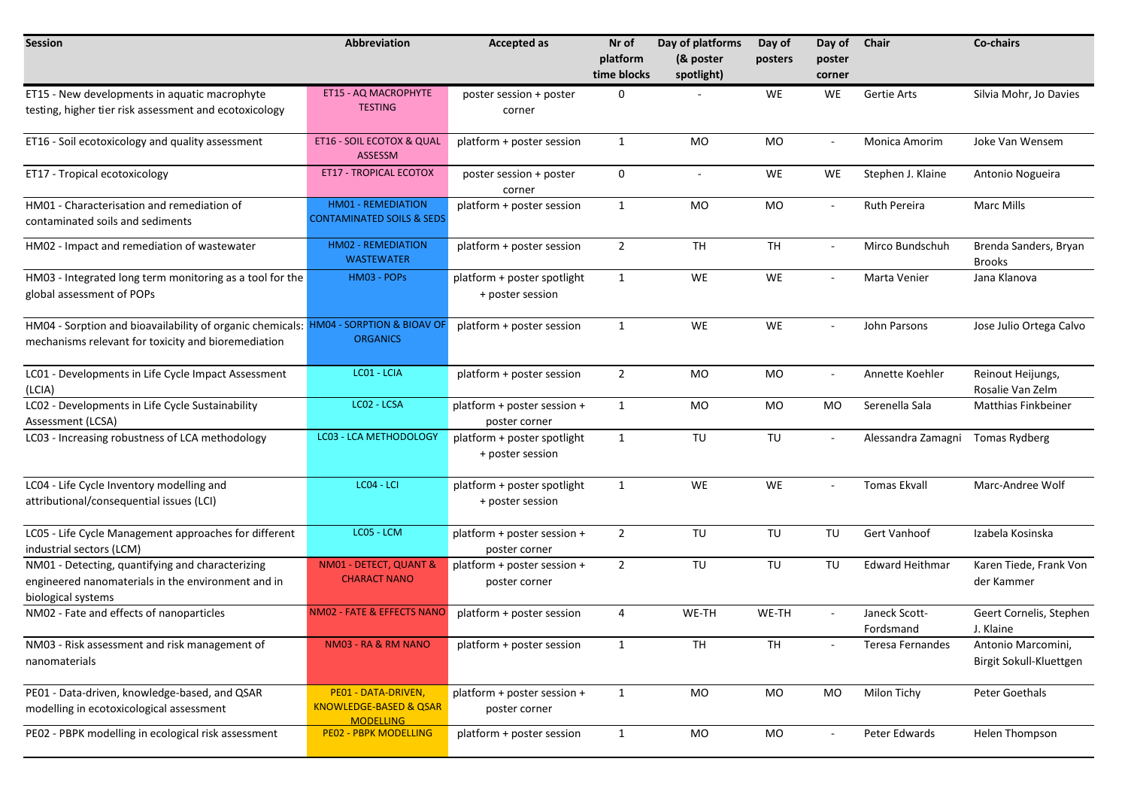| <b>Session</b>                                                                                                                             | Abbreviation                                                                 | <b>Accepted as</b>                              | Nr of                   | Day of platforms        | Day of    | Day of                   | Chair                      | Co-chairs                                     |
|--------------------------------------------------------------------------------------------------------------------------------------------|------------------------------------------------------------------------------|-------------------------------------------------|-------------------------|-------------------------|-----------|--------------------------|----------------------------|-----------------------------------------------|
|                                                                                                                                            |                                                                              |                                                 | platform<br>time blocks | (& poster<br>spotlight) | posters   | poster<br>corner         |                            |                                               |
| ET15 - New developments in aquatic macrophyte                                                                                              | ET15 - AQ MACROPHYTE                                                         | poster session + poster                         | $\mathbf 0$             |                         | WE        | WE                       | Gertie Arts                | Silvia Mohr, Jo Davies                        |
| testing, higher tier risk assessment and ecotoxicology                                                                                     | <b>TESTING</b>                                                               | corner                                          |                         |                         |           |                          |                            |                                               |
| ET16 - Soil ecotoxicology and quality assessment                                                                                           | ET16 - SOIL ECOTOX & QUAL<br>ASSESSM                                         | platform + poster session                       | $\mathbf{1}$            | MO                      | MO        | $\overline{\phantom{a}}$ | Monica Amorim              | Joke Van Wensem                               |
| ET17 - Tropical ecotoxicology                                                                                                              | <b>ET17 - TROPICAL ECOTOX</b>                                                | poster session + poster<br>corner               | $\mathbf 0$             | $\sim$                  | WE        | WE                       | Stephen J. Klaine          | Antonio Nogueira                              |
| HM01 - Characterisation and remediation of<br>contaminated soils and sediments                                                             | <b>HM01 - REMEDIATION</b><br><b>CONTAMINATED SOILS &amp; SEDS</b>            | platform + poster session                       | $\mathbf{1}$            | MO                      | MO        | $\sim$                   | <b>Ruth Pereira</b>        | <b>Marc Mills</b>                             |
| HM02 - Impact and remediation of wastewater                                                                                                | <b>HM02 - REMEDIATION</b><br><b>WASTEWATER</b>                               | platform + poster session                       | $\overline{2}$          | <b>TH</b>               | <b>TH</b> | $\sim$                   | Mirco Bundschuh            | Brenda Sanders, Bryan<br><b>Brooks</b>        |
| HM03 - Integrated long term monitoring as a tool for the<br>global assessment of POPs                                                      | HM03 - POPs                                                                  | platform + poster spotlight<br>+ poster session | $\mathbf{1}$            | WE                      | WE        | $\sim$                   | Marta Venier               | Jana Klanova                                  |
| HM04 - Sorption and bioavailability of organic chemicals: HM04 - SORPTION & BIOAV O<br>mechanisms relevant for toxicity and bioremediation | <b>ORGANICS</b>                                                              | platform + poster session                       | $\mathbf{1}$            | WE                      | WE        | $\sim$                   | John Parsons               | Jose Julio Ortega Calvo                       |
| LC01 - Developments in Life Cycle Impact Assessment<br>(LCIA)                                                                              | LC01 - LCIA                                                                  | platform + poster session                       | $\overline{2}$          | MO                      | MO        | $\sim$                   | Annette Koehler            | Reinout Heijungs,<br>Rosalie Van Zelm         |
| LC02 - Developments in Life Cycle Sustainability<br>Assessment (LCSA)                                                                      | LC02 - LCSA                                                                  | platform + poster session +<br>poster corner    | $\mathbf{1}$            | MO                      | MO        | MO                       | Serenella Sala             | <b>Matthias Finkbeiner</b>                    |
| LC03 - Increasing robustness of LCA methodology                                                                                            | <b>LC03 - LCA METHODOLOGY</b>                                                | platform + poster spotlight<br>+ poster session | $\mathbf{1}$            | TU                      | TU        | $\overline{\phantom{a}}$ | Alessandra Zamagni         | Tomas Rydberg                                 |
| LC04 - Life Cycle Inventory modelling and<br>attributional/consequential issues (LCI)                                                      | $\overline{LC04}$ - LCI                                                      | platform + poster spotlight<br>+ poster session | $\mathbf{1}$            | WE                      | WE        | $\sim$                   | <b>Tomas Ekvall</b>        | Marc-Andree Wolf                              |
| LC05 - Life Cycle Management approaches for different<br>industrial sectors (LCM)                                                          | LC05 - LCM                                                                   | platform + poster session +<br>poster corner    | $\overline{2}$          | TU                      | TU        | TU                       | Gert Vanhoof               | Izabela Kosinska                              |
| NM01 - Detecting, quantifying and characterizing<br>engineered nanomaterials in the environment and in<br>biological systems               | NM01 - DETECT, QUANT &<br><b>CHARACT NANO</b>                                | platform + poster session +<br>poster corner    | $\overline{2}$          | TU                      | TU        | TU                       | <b>Edward Heithmar</b>     | Karen Tiede, Frank Von<br>der Kammer          |
| NM02 - Fate and effects of nanoparticles                                                                                                   | NM02 - FATE & EFFECTS NANO                                                   | platform + poster session                       | 4                       | WE-TH                   | WE-TH     |                          | Janeck Scott-<br>Fordsmand | Geert Cornelis, Stephen<br>J. Klaine          |
| NM03 - Risk assessment and risk management of<br>nanomaterials                                                                             | NM03 - RA & RM NANO                                                          | platform + poster session                       | 1                       | TH                      | TH        |                          | Teresa Fernandes           | Antonio Marcomini,<br>Birgit Sokull-Kluettgen |
| PE01 - Data-driven, knowledge-based, and QSAR<br>modelling in ecotoxicological assessment                                                  | PE01 - DATA-DRIVEN,<br><b>KNOWLEDGE-BASED &amp; QSAR</b><br><b>MODELLING</b> | platform + poster session +<br>poster corner    | $\mathbf{1}$            | MO                      | MO        | MO                       | Milon Tichy                | Peter Goethals                                |
| PE02 - PBPK modelling in ecological risk assessment                                                                                        | <b>PE02 - PBPK MODELLING</b>                                                 | platform + poster session                       | $\mathbf{1}$            | MO                      | MO        | $\sim$                   | Peter Edwards              | Helen Thompson                                |